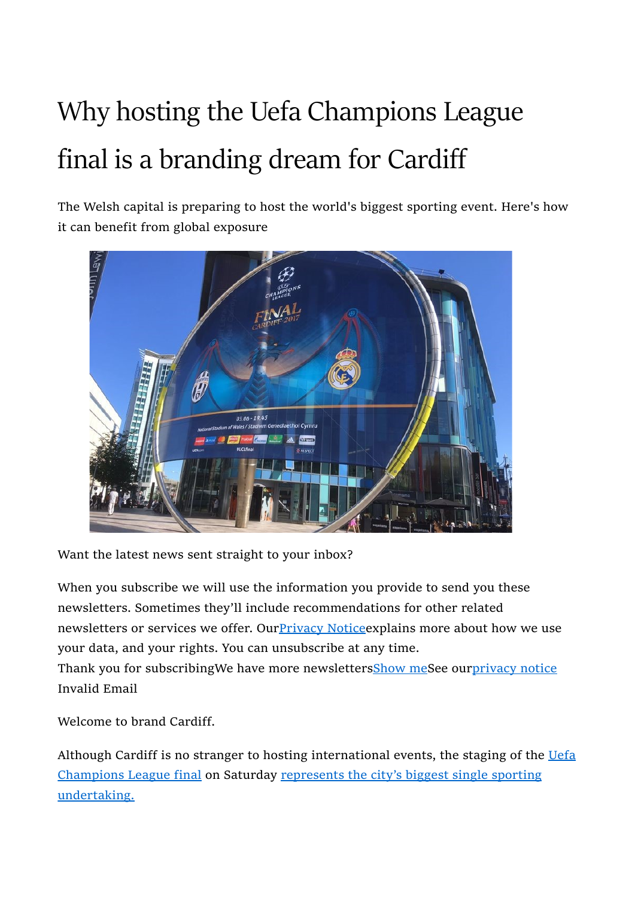## Why hosting the Uefa Champions League final is a branding dream for Cardiff

The Welsh capital is preparing to host the world's biggest sporting event. Here's how it can benefit from global exposure



Want the latest news sent straight to your inbox?

When you subscribe we will use the information you provide to send you these newsletters. Sometimes they'll include recommendations for other related newsletters or services we offer. OurPrivacy Noticeexplains more about how we use your data, and your rights. You can unsubscribe at any time. Thank you for subscribingWe have more newslettersShow meSee ourprivacy notice

Invalid Email

Welcome to brand Cardiff.

Although Cardiff is no stranger to hosting international events, the staging of the Uefa Champions League final on Saturday represents the city's biggest single sporting undertaking.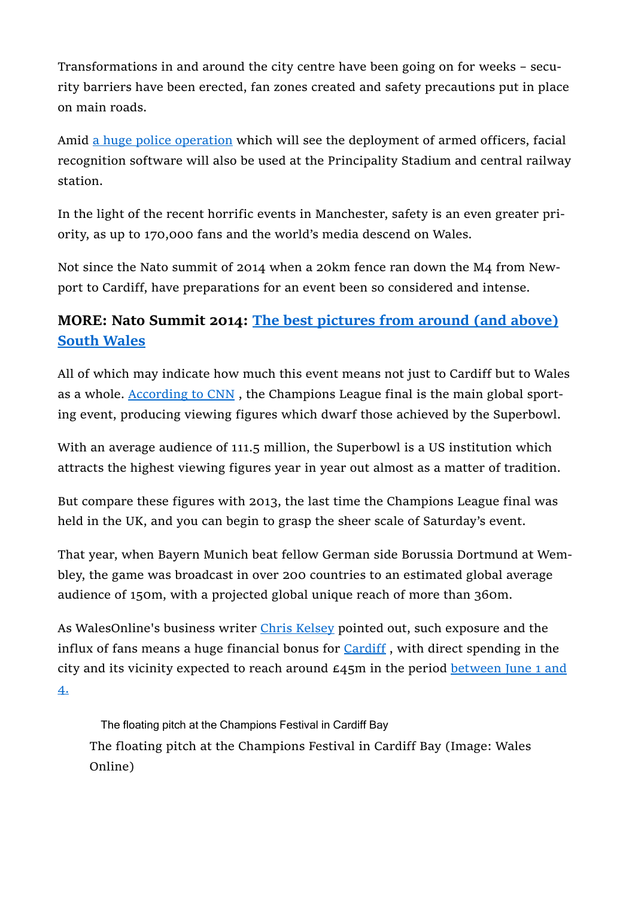Transformations in and around the city centre have been going on for weeks – security barriers have been erected, fan zones created and safety precautions put in place on main roads.

Amid a huge police operation which will see the deployment of armed officers, facial recognition software will also be used at the Principality Stadium and central railway station.

In the light of the recent horrific events in Manchester, safety is an even greater priority, as up to 170,000 fans and the world's media descend on Wales.

Not since the Nato summit of 2014 when a 20km fence ran down the M4 from Newport to Cardiff, have preparations for an event been so considered and intense.

## MORE: Nato Summit 2014: The best pictures from around (and above) South Wales

All of which may indicate how much this event means not just to Cardiff but to Wales as a whole. According to CNN, the Champions League final is the main global sporting event, producing viewing figures which dwarf those achieved by the Superbowl.

With an average audience of 111.5 million, the Superbowl is a US institution which attracts the highest viewing figures year in year out almost as a matter of tradition.

But compare these figures with 2013, the last time the Champions League final was held in the UK, and you can begin to grasp the sheer scale of Saturday's event.

That year, when Bayern Munich beat fellow German side Borussia Dortmund at Wembley, the game was broadcast in over 200 countries to an estimated global average audience of 150m, with a projected global unique reach of more than 360m.

As WalesOnline's business writer Chris Kelsey pointed out, such exposure and the influx of fans means a huge financial bonus for Cardiff, with direct spending in the city and its vicinity expected to reach around  $\epsilon$ 45m in the period between June 1 and 4.

The floating pitch at the Champions Festival in Cardiff Bay The floating pitch at the Champions Festival in Cardiff Bay (Image: Wales Online)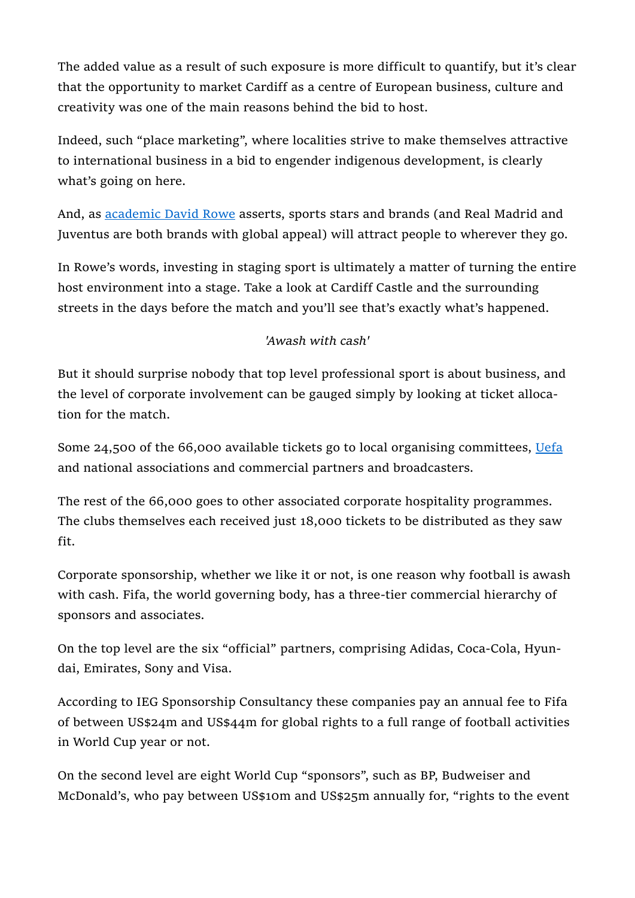The added value as a result of such exposure is more difficult to quantify, but it's clear that the opportunity to market Cardiff as a centre of European business, culture and creativity was one of the main reasons behind the bid to host.

Indeed, such "place marketing", where localities strive to make themselves attractive to international business in a bid to engender indigenous development, is clearly what's going on here.

And, as academic David Rowe asserts, sports stars and brands (and Real Madrid and Juventus are both brands with global appeal) will attract people to wherever they go.

In Rowe's words, investing in staging sport is ultimately a matter of turning the entire host environment into a stage. Take a look at Cardiff Castle and the surrounding streets in the days before the match and you'll see that's exactly what's happened.

## 'Awash with cash'

But it should surprise nobody that top level professional sport is about business, and the level of corporate involvement can be gauged simply by looking at ticket allocation for the match.

Some 24,500 of the 66,000 available tickets go to local organising committees, Uefa and national associations and commercial partners and broadcasters.

The rest of the 66,000 goes to other associated corporate hospitality programmes. The clubs themselves each received just 18,000 tickets to be distributed as they saw fit.

Corporate sponsorship, whether we like it or not, is one reason why football is awash with cash. Fifa, the world governing body, has a three-tier commercial hierarchy of sponsors and associates.

On the top level are the six "official" partners, comprising Adidas, Coca-Cola, Hyundai, Emirates, Sony and Visa.

According to IEG Sponsorship Consultancy these companies pay an annual fee to Fifa of between US\$24m and US\$44m for global rights to a full range of football activities in World Cup year or not.

On the second level are eight World Cup "sponsors", such as BP, Budweiser and McDonald's, who pay between US\$10m and US\$25m annually for, "rights to the event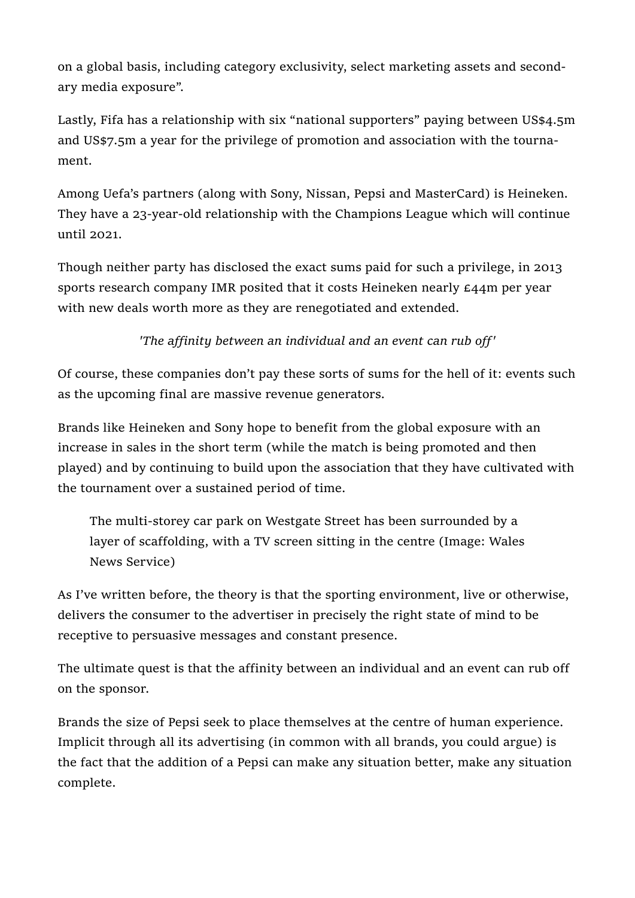on a global basis, including category exclusivity, select marketing assets and secondary media exposure".

Lastly, Fifa has a relationship with six "national supporters" paying between US\$4.5m and US\$7.5m a year for the privilege of promotion and association with the tournament.

Among Uefa's partners (along with Sony, Nissan, Pepsi and MasterCard) is Heineken. They have a 23-year-old relationship with the Champions League which will continue until 2021.

Though neither party has disclosed the exact sums paid for such a privilege, in 2013 sports research company IMR posited that it costs Heineken nearly £44m per year with new deals worth more as they are renegotiated and extended.

'The affinity between an individual and an event can rub off'

Of course, these companies don't pay these sorts of sums for the hell of it: events such as the upcoming final are massive revenue generators.

Brands like Heineken and Sony hope to benefit from the global exposure with an increase in sales in the short term (while the match is being promoted and then played) and by continuing to build upon the association that they have cultivated with the tournament over a sustained period of time.

The multi-storey car park on Westgate Street has been surrounded by a layer of scaffolding, with a TV screen sitting in the centre (Image: Wales News Service)

As I've written before, the theory is that the sporting environment, live or otherwise, delivers the consumer to the advertiser in precisely the right state of mind to be receptive to persuasive messages and constant presence.

The ultimate quest is that the affinity between an individual and an event can rub off on the sponsor.

Brands the size of Pepsi seek to place themselves at the centre of human experience. Implicit through all its advertising (in common with all brands, you could argue) is the fact that the addition of a Pepsi can make any situation better, make any situation complete.